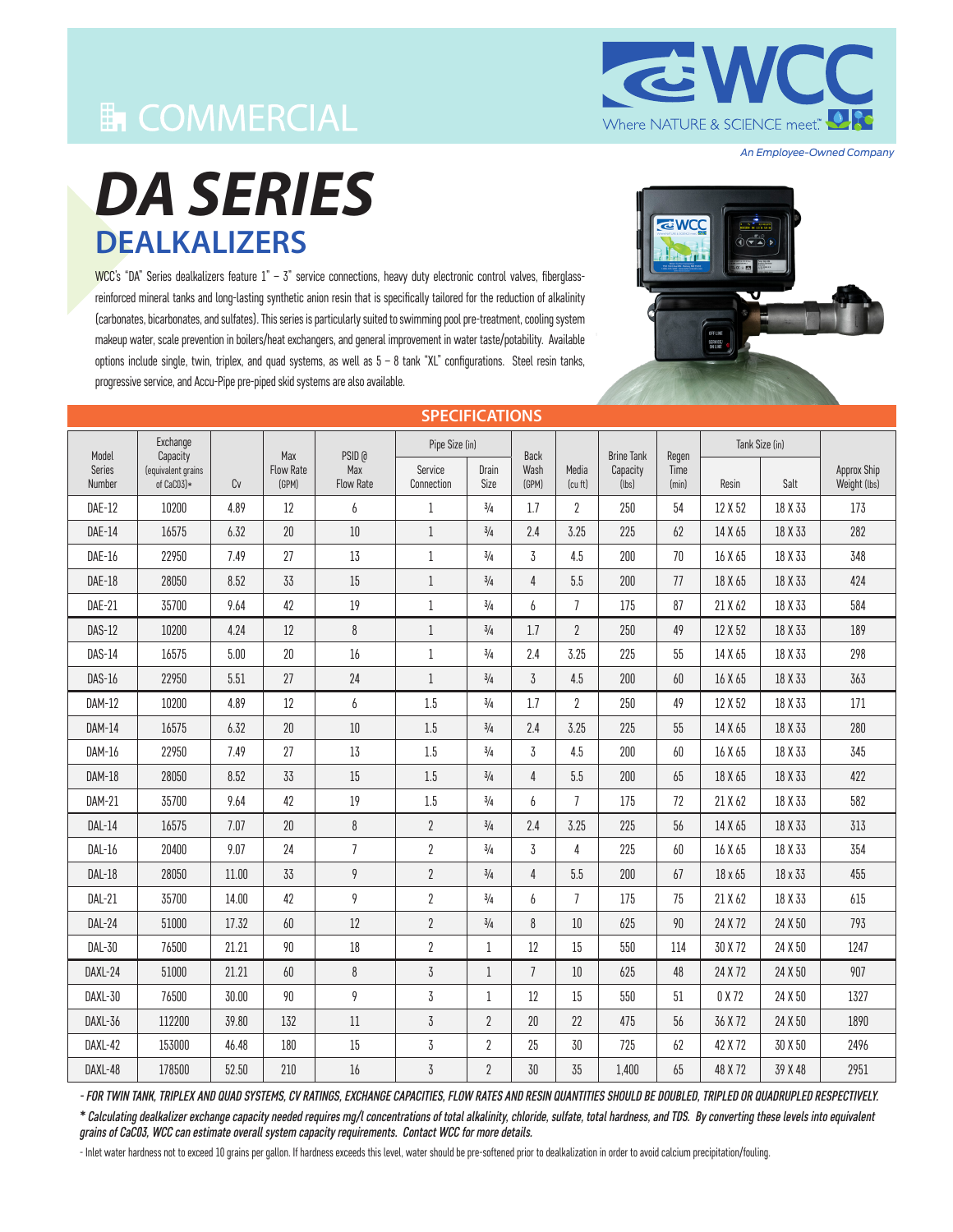## **En COMMERCIAL**

**EWC** Where NATURE & SCIENCE meet."

*An Employee-Owned Company*

# *DA SERIES* **DEALKALIZERS**

WCC's "DA" Series dealkalizers feature  $1 - 3$ " service connections, heavy duty electronic control valves, fiberglassreinforced mineral tanks and long-lasting synthetic anion resin that is specifically tailored for the reduction of alkalinity (carbonates, bicarbonates, and sulfates). This series is particularly suited to swimming pool pre-treatment, cooling system makeup water, scale prevention in boilers/heat exchangers, and general improvement in water taste/potability. Available options include single, twin, triplex, and quad systems, as well as 5 – 8 tank "XL" configurations. Steel resin tanks, progressive service, and Accu-Pipe pre-piped skid systems are also available.



| <b>SPECIFICATIONS</b> |                                  |       |                           |                         |                       |                |                |                  |                   |               |                |         |                             |
|-----------------------|----------------------------------|-------|---------------------------|-------------------------|-----------------------|----------------|----------------|------------------|-------------------|---------------|----------------|---------|-----------------------------|
| Model                 | Exchange<br>Capacity             |       | Max                       | PSID @                  | Pipe Size (in)        |                | <b>Back</b>    |                  | <b>Brine Tank</b> | Regen         | Tank Size (in) |         |                             |
| Series<br>Number      | (equivalent grains<br>of CaC03)* | Cv    | <b>Flow Rate</b><br>(GPM) | Max<br><b>Flow Rate</b> | Service<br>Connection | Drain<br>Size  | Wash<br>(GPM)  | Media<br>(cu ft) | Capacity<br>(lbs) | Time<br>(min) | Resin          | Salt    | Approx Ship<br>Weight (lbs) |
| <b>DAE-12</b>         | 10200                            | 4.89  | 12                        | 6                       | $\mathbf{1}$          | 3/4            | 1.7            | $\overline{2}$   | 250               | 54            | 12 X 52        | 18 X 33 | 173                         |
| DAE-14                | 16575                            | 6.32  | 20                        | $10\,$                  | $\mathbf{1}$          | $3/4$          | 2.4            | 3.25             | 225               | 62            | 14 X 65        | 18 X 33 | 282                         |
| DAE-16                | 22950                            | 7.49  | 27                        | 13                      | $\mathbf{1}$          | 3/4            | 3              | 4.5              | 200               | 70            | 16 X 65        | 18 X 33 | 348                         |
| DAE-18                | 28050                            | 8.52  | 33                        | 15                      | $\mathbf{1}$          | $3/4$          | 4              | 5.5              | 200               | 77            | 18 X 65        | 18 X 33 | 424                         |
| DAE-21                | 35700                            | 9.64  | 42                        | 19                      | $\mathbf{1}$          | 3/4            | 6              | $\overline{7}$   | 175               | 87            | 21 X 62        | 18 X 33 | 584                         |
| <b>DAS-12</b>         | 10200                            | 4.24  | 12                        | 8                       | $\mathbf{1}$          | 3/4            | 1.7            | $\overline{2}$   | 250               | 49            | 12 X 52        | 18 X 33 | 189                         |
| <b>DAS-14</b>         | 16575                            | 5.00  | 20                        | 16                      | $\mathbf{1}$          | $3/4$          | 2.4            | 3.25             | 225               | 55            | 14 X 65        | 18 X 33 | 298                         |
| <b>DAS-16</b>         | 22950                            | 5.51  | 27                        | 24                      | $\mathbf{1}$          | 3/4            | $\overline{3}$ | 4.5              | 200               | 60            | 16 X 65        | 18 X 33 | 363                         |
| DAM-12                | 10200                            | 4.89  | 12                        | 6                       | $1.5\,$               | 3/4            | 1.7            | $\overline{2}$   | 250               | 49            | 12 X 52        | 18 X 33 | 171                         |
| <b>DAM-14</b>         | 16575                            | 6.32  | $20\,$                    | $10\,$                  | $1.5\,$               | 3/4            | 2.4            | 3.25             | 225               | 55            | 14 X 65        | 18 X 33 | 280                         |
| DAM-16                | 22950                            | 7.49  | 27                        | 13                      | $1.5\,$               | 3/4            | 3              | 4.5              | 200               | 60            | 16 X 65        | 18 X 33 | 345                         |
| <b>DAM-18</b>         | 28050                            | 8.52  | 33                        | 15                      | 1.5                   | 3/4            | 4              | 5.5              | 200               | 65            | 18 X 65        | 18 X 33 | 422                         |
| <b>DAM-21</b>         | 35700                            | 9.64  | 42                        | 19                      | $1.5\,$               | 3/4            | 6              | $\overline{7}$   | 175               | 72            | 21 X 62        | 18 X 33 | 582                         |
| DAL-14                | 16575                            | 7.07  | $20\,$                    | 8                       | $\overline{2}$        | 3/4            | 2.4            | 3.25             | 225               | 56            | 14 X 65        | 18 X 33 | 313                         |
| $DAL-16$              | 20400                            | 9.07  | 24                        | $\overline{7}$          | $\overline{2}$        | $3/4$          | $\overline{3}$ | 4                | 225               | 60            | 16 X 65        | 18 X 33 | 354                         |
| <b>DAL-18</b>         | 28050                            | 11.00 | 33                        | 9                       | $\overline{2}$        | $3/4$          | 4              | 5.5              | 200               | 67            | 18 x 65        | 18 x 33 | 455                         |
| DAL-21                | 35700                            | 14.00 | 42                        | 9                       | $\overline{2}$        | 3/4            | 6              | $\overline{7}$   | 175               | 75            | 21 X 62        | 18 X 33 | 615                         |
| DAL-24                | 51000                            | 17.32 | 60                        | 12                      | $\overline{2}$        | 3/4            | 8              | $10\,$           | 625               | 90            | 24 X 72        | 24 X 50 | 793                         |
| DAL-30                | 76500                            | 21.21 | 90                        | $18\,$                  | $\overline{2}$        | $\mathbf 1$    | 12             | 15               | 550               | 114           | 30 X 72        | 24 X 50 | 1247                        |
| DAXL-24               | 51000                            | 21.21 | 60                        | 8                       | 3                     | $\mathbf{1}$   | $\overline{7}$ | $10\,$           | 625               | 48            | 24 X 72        | 24 X 50 | 907                         |
| DAXL-30               | 76500                            | 30.00 | 90                        | 9                       | $\overline{3}$        | $\mathbf 1$    | 12             | 15               | 550               | 51            | 0 X 72         | 24 X 50 | 1327                        |
| DAXL-36               | 112200                           | 39.80 | 132                       | 11                      | $\overline{3}$        | $\overline{2}$ | 20             | 22               | 475               | 56            | 36 X 72        | 24 X 50 | 1890                        |
| DAXL-42               | 153000                           | 46.48 | 180                       | 15                      | 3                     | $\overline{2}$ | 25             | 30               | 725               | 62            | 42 X 72        | 30 X 50 | 2496                        |
| DAXL-48               | 178500                           | 52.50 | 210                       | 16                      | 3                     | $\overline{2}$ | 30             | 35               | 1,400             | 65            | 48 X 72        | 39 X 48 | 2951                        |

*- FOR TWIN TANK, TRIPLEX AND QUAD SYSTEMS, CV RATINGS, EXCHANGE CAPACITIES, FLOW RATES AND RESIN QUANTITIES SHOULD BE DOUBLED, TRIPLED OR QUADRUPLED RESPECTIVELY.*

*\* Calculating dealkalizer exchange capacity needed requires mg/l concentrations of total alkalinity, chloride, sulfate, total hardness, and TDS. By converting these levels into equivalent grains of CaC03, WCC can estimate overall system capacity requirements. Contact WCC for more details.*

- Inlet water hardness not to exceed 10 grains per gallon. If hardness exceeds this level, water should be pre-softened prior to dealkalization in order to avoid calcium precipitation/fouling.